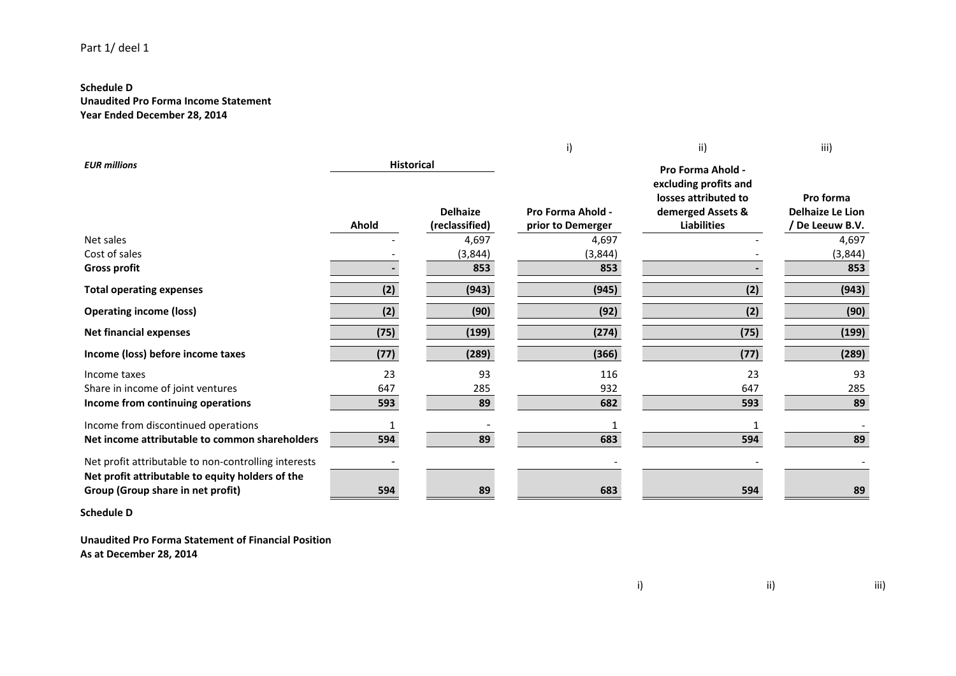## **Schedule D**

**Unaudited Pro Forma Income Statement Year Ended December 28, 2014**

|                                                                                                          |                   |                                   | i)                                     | ii)                                                      | iii)                                                    |
|----------------------------------------------------------------------------------------------------------|-------------------|-----------------------------------|----------------------------------------|----------------------------------------------------------|---------------------------------------------------------|
| <b>EUR millions</b>                                                                                      | <b>Historical</b> |                                   |                                        | Pro Forma Ahold -<br>excluding profits and               |                                                         |
|                                                                                                          | Ahold             | <b>Delhaize</b><br>(reclassified) | Pro Forma Ahold -<br>prior to Demerger | losses attributed to<br>demerged Assets &<br>Liabilities | Pro forma<br><b>Delhaize Le Lion</b><br>/ De Leeuw B.V. |
| Net sales                                                                                                |                   | 4,697                             | 4,697                                  |                                                          | 4,697                                                   |
| Cost of sales                                                                                            |                   | (3,844)                           | (3,844)                                |                                                          | (3,844)                                                 |
| <b>Gross profit</b>                                                                                      |                   | 853                               | 853                                    |                                                          | 853                                                     |
| <b>Total operating expenses</b>                                                                          | (2)               | (943)                             | (945)                                  | (2)                                                      | (943)                                                   |
| <b>Operating income (loss)</b>                                                                           | (2)               | (90)                              | (92)                                   | (2)                                                      | (90)                                                    |
| <b>Net financial expenses</b>                                                                            | (75)              | (199)                             | (274)                                  | (75)                                                     | (199)                                                   |
| Income (loss) before income taxes                                                                        | (77)              | (289)                             | (366)                                  | (77)                                                     | (289)                                                   |
| Income taxes                                                                                             | 23                | 93                                | 116                                    | 23                                                       | 93                                                      |
| Share in income of joint ventures                                                                        | 647               | 285                               | 932                                    | 647                                                      | 285                                                     |
| Income from continuing operations                                                                        | 593               | 89                                | 682                                    | 593                                                      | 89                                                      |
| Income from discontinued operations                                                                      |                   |                                   |                                        |                                                          |                                                         |
| Net income attributable to common shareholders                                                           | 594               | 89                                | 683                                    | 594                                                      | 89                                                      |
| Net profit attributable to non-controlling interests<br>Net profit attributable to equity holders of the |                   |                                   |                                        |                                                          |                                                         |
| Group (Group share in net profit)                                                                        | 594               | 89                                | 683                                    | 594                                                      | 89                                                      |

**Schedule D**

**Unaudited Pro Forma Statement of Financial Position As at December 28, 2014**

i) ii) iii)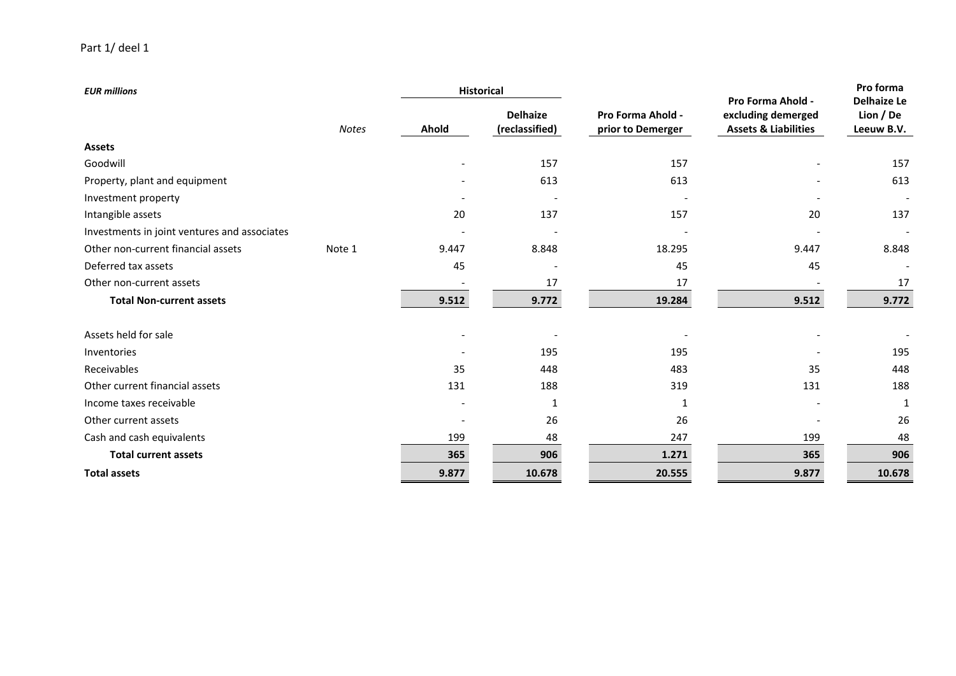| <b>EUR millions</b>                          |              | <b>Historical</b> |                                   |                                        |                                                                            | Pro forma<br><b>Delhaize Le</b> |
|----------------------------------------------|--------------|-------------------|-----------------------------------|----------------------------------------|----------------------------------------------------------------------------|---------------------------------|
|                                              | <b>Notes</b> | Ahold             | <b>Delhaize</b><br>(reclassified) | Pro Forma Ahold -<br>prior to Demerger | Pro Forma Ahold -<br>excluding demerged<br><b>Assets &amp; Liabilities</b> | Lion / De<br>Leeuw B.V.         |
| <b>Assets</b>                                |              |                   |                                   |                                        |                                                                            |                                 |
| Goodwill                                     |              |                   | 157                               | 157                                    |                                                                            | 157                             |
| Property, plant and equipment                |              |                   | 613                               | 613                                    |                                                                            | 613                             |
| Investment property                          |              |                   |                                   |                                        |                                                                            |                                 |
| Intangible assets                            |              | 20                | 137                               | 157                                    | 20                                                                         | 137                             |
| Investments in joint ventures and associates |              |                   |                                   |                                        |                                                                            |                                 |
| Other non-current financial assets           | Note 1       | 9.447             | 8.848                             | 18.295                                 | 9.447                                                                      | 8.848                           |
| Deferred tax assets                          |              | 45                |                                   | 45                                     | 45                                                                         |                                 |
| Other non-current assets                     |              |                   | 17                                | 17                                     |                                                                            | 17                              |
| <b>Total Non-current assets</b>              |              | 9.512             | 9.772                             | 19.284                                 | 9.512                                                                      | 9.772                           |
| Assets held for sale                         |              |                   |                                   |                                        |                                                                            |                                 |
| Inventories                                  |              |                   | 195                               | 195                                    |                                                                            | 195                             |
| Receivables                                  |              | 35                | 448                               | 483                                    | 35                                                                         | 448                             |
| Other current financial assets               |              | 131               | 188                               | 319                                    | 131                                                                        | 188                             |
| Income taxes receivable                      |              |                   | 1                                 | 1                                      |                                                                            | 1                               |
| Other current assets                         |              |                   | 26                                | 26                                     |                                                                            | 26                              |
| Cash and cash equivalents                    |              | 199               | 48                                | 247                                    | 199                                                                        | 48                              |
| <b>Total current assets</b>                  |              | 365               | 906                               | 1.271                                  | 365                                                                        | 906                             |
| <b>Total assets</b>                          |              | 9.877             | 10.678                            | 20.555                                 | 9.877                                                                      | 10.678                          |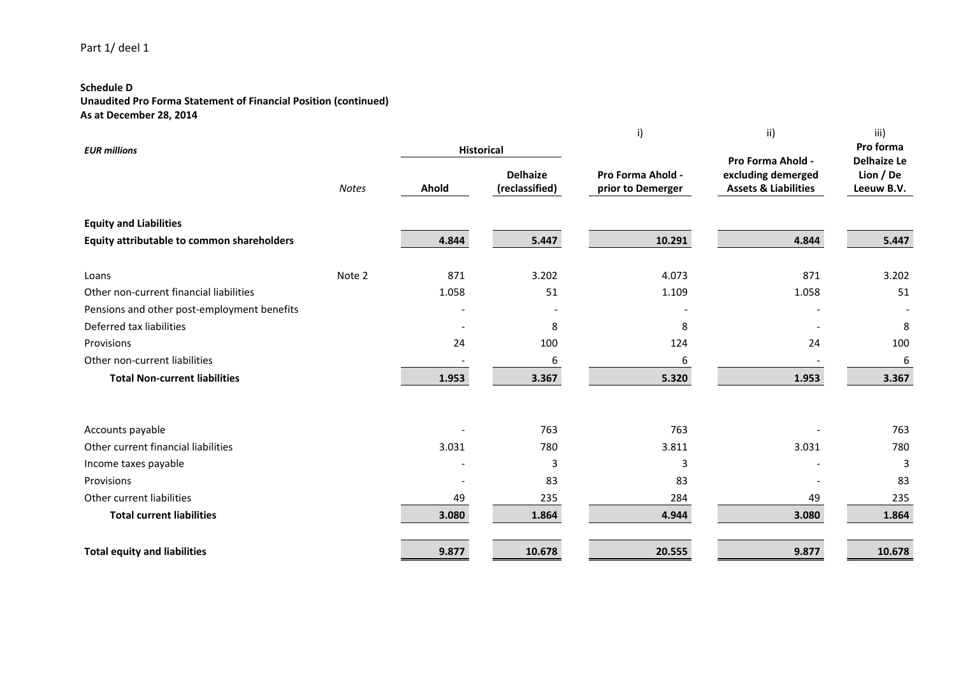## **Schedule D**

**Unaudited Pro Forma Statement of Financial Position (continued) As at December 28, 2014**

|                                             |              |                   |                                   | i)                                     | ii)                                                   | iii)                            |
|---------------------------------------------|--------------|-------------------|-----------------------------------|----------------------------------------|-------------------------------------------------------|---------------------------------|
| <b>EUR millions</b>                         |              | <b>Historical</b> |                                   |                                        | Pro Forma Ahold -                                     | Pro forma<br><b>Delhaize Le</b> |
|                                             | <b>Notes</b> | Ahold             | <b>Delhaize</b><br>(reclassified) | Pro Forma Ahold -<br>prior to Demerger | excluding demerged<br><b>Assets &amp; Liabilities</b> | Lion / De<br>Leeuw B.V.         |
| <b>Equity and Liabilities</b>               |              |                   |                                   |                                        |                                                       |                                 |
| Equity attributable to common shareholders  |              | 4.844             | 5.447                             | 10.291                                 | 4.844                                                 | 5.447                           |
| Loans                                       | Note 2       | 871               | 3.202                             | 4.073                                  | 871                                                   | 3.202                           |
| Other non-current financial liabilities     |              | 1.058             | 51                                | 1.109                                  | 1.058                                                 | 51                              |
| Pensions and other post-employment benefits |              |                   |                                   |                                        |                                                       |                                 |
| Deferred tax liabilities                    |              |                   | 8                                 | 8                                      |                                                       | 8                               |
| Provisions                                  |              | 24                | 100                               | 124                                    | 24                                                    | 100                             |
| Other non-current liabilities               |              |                   | 6                                 | 6                                      |                                                       | 6                               |
| <b>Total Non-current liabilities</b>        |              | 1.953             | 3.367                             | 5.320                                  | 1.953                                                 | 3.367                           |
| Accounts payable                            |              |                   | 763                               | 763                                    |                                                       | 763                             |
| Other current financial liabilities         |              | 3.031             | 780                               | 3.811                                  | 3.031                                                 | 780                             |
| Income taxes payable                        |              |                   | 3                                 | 3                                      |                                                       | 3                               |
| Provisions                                  |              |                   | 83                                | 83                                     |                                                       | 83                              |
| Other current liabilities                   |              | 49                | 235                               | 284                                    | 49                                                    | 235                             |
| <b>Total current liabilities</b>            |              | 3.080             | 1.864                             | 4.944                                  | 3.080                                                 | 1.864                           |
| <b>Total equity and liabilities</b>         |              | 9.877             | 10.678                            | 20.555                                 | 9.877                                                 | 10.678                          |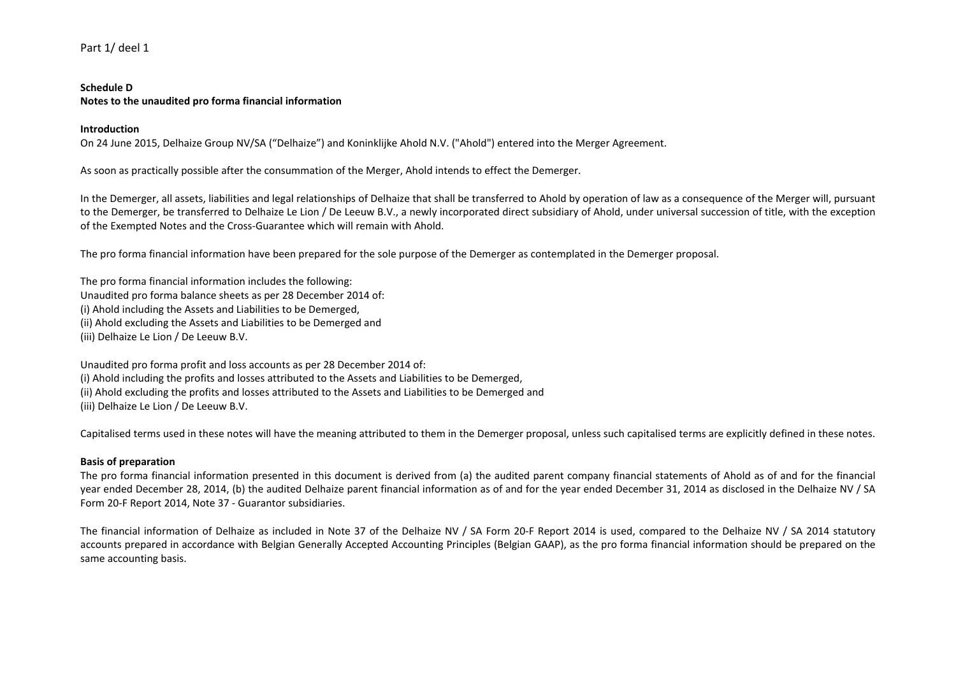### **Schedule D Notes to the unaudited pro forma financial information**

### **Introduction**

On 24 June 2015, Delhaize Group NV/SA ("Delhaize") and Koninklijke Ahold N.V. ("Ahold") entered into the Merger Agreement.

As soon as practically possible after the consummation of the Merger, Ahold intends to effect the Demerger.

In the Demerger, all assets, liabilities and legal relationships of Delhaize that shall be transferred to Ahold by operation of law as a consequence of the Merger will, pursuant to the Demerger, be transferred to Delhaize Le Lion / De Leeuw B.V., a newly incorporated direct subsidiary of Ahold, under universal succession of title, with the exception of the Exempted Notes and the Cross-Guarantee which will remain with Ahold.

The pro forma financial information have been prepared for the sole purpose of the Demerger as contemplated in the Demerger proposal.

The pro forma financial information includes the following: Unaudited pro forma balance sheets as per 28 December 2014 of: (i) Ahold including the Assets and Liabilities to be Demerged, (ii) Ahold excluding the Assets and Liabilities to be Demerged and (iii) Delhaize Le Lion / De Leeuw B.V.

Unaudited pro forma profit and loss accounts as per 28 December 2014 of: (i) Ahold including the profits and losses attributed to the Assets and Liabilities to be Demerged, (ii) Ahold excluding the profits and losses attributed to the Assets and Liabilities to be Demerged and (iii) Delhaize Le Lion / De Leeuw B.V.

Capitalised terms used in these notes will have the meaning attributed to them in the Demerger proposal, unless such capitalised terms are explicitly defined in these notes.

## **Basis of preparation**

The pro forma financial information presented in this document is derived from (a) the audited parent company financial statements of Ahold as of and for the financial year ended December 28, 2014, (b) the audited Delhaize parent financial information as of and for the year ended December 31, 2014 as disclosed in the Delhaize NV / SA Form 20-F Report 2014, Note 37 - Guarantor subsidiaries.

The financial information of Delhaize as included in Note 37 of the Delhaize NV / SA Form 20-F Report 2014 is used, compared to the Delhaize NV / SA 2014 statutory accounts prepared in accordance with Belgian Generally Accepted Accounting Principles (Belgian GAAP), as the pro forma financial information should be prepared on the same accounting basis.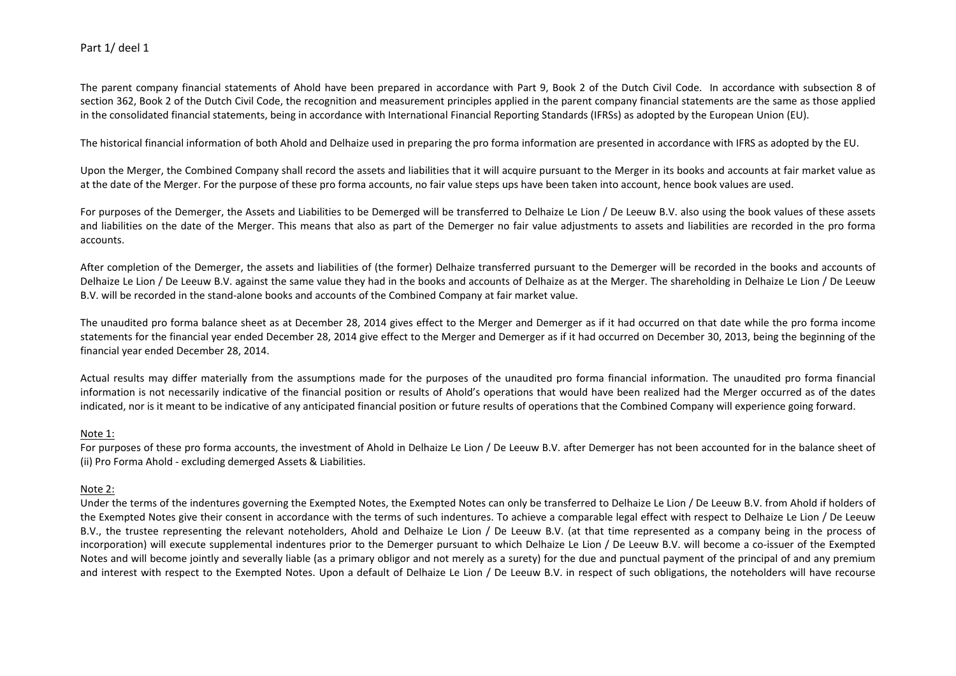The parent company financial statements of Ahold have been prepared in accordance with Part 9, Book 2 of the Dutch Civil Code. In accordance with subsection 8 of section 362. Book 2 of the Dutch Civil Code, the recognition and measurement principles applied in the parent company financial statements are the same as those applied in the consolidated financial statements, being in accordance with International Financial Reporting Standards (IFRSs) as adopted by the European Union (EU).

The historical financial information of both Ahold and Delhaize used in preparing the pro forma information are presented in accordance with IFRS as adopted by the EU.

Upon the Merger, the Combined Company shall record the assets and liabilities that it will acquire pursuant to the Merger in its books and accounts at fair market value as at the date of the Merger. For the purpose of these pro forma accounts, no fair value steps ups have been taken into account, hence book values are used.

For purposes of the Demerger, the Assets and Liabilities to be Demerged will be transferred to Delhaize Le Lion / De Leeuw B.V. also using the book values of these assets and liabilities on the date of the Merger. This means that also as part of the Demerger no fair value adjustments to assets and liabilities are recorded in the pro forma accounts.

After completion of the Demerger, the assets and liabilities of (the former) Delhaize transferred pursuant to the Demerger will be recorded in the books and accounts of Delhaize Le Lion / De Leeuw B.V. against the same value they had in the books and accounts of Delhaize as at the Merger. The shareholding in Delhaize Le Lion / De Leeuw B.V. will be recorded in the stand-alone books and accounts of the Combined Company at fair market value.

The unaudited pro forma balance sheet as at December 28, 2014 gives effect to the Merger and Demerger as if it had occurred on that date while the pro forma income statements for the financial year ended December 28, 2014 give effect to the Merger and Demerger as if it had occurred on December 30, 2013, being the beginning of the financial year ended December 28, 2014.

Actual results may differ materially from the assumptions made for the purposes of the unaudited pro forma financial information. The unaudited pro forma financial information is not necessarily indicative of the financial position or results of Ahold's operations that would have been realized had the Merger occurred as of the dates indicated, nor is it meant to be indicative of any anticipated financial position or future results of operations that the Combined Company will experience going forward.

## Note 1:

For purposes of these pro forma accounts, the investment of Ahold in Delhaize Le Lion / De Leeuw B.V. after Demerger has not been accounted for in the balance sheet of (ii) Pro Forma Ahold - excluding demerged Assets & Liabilities.

## Note 2:

Under the terms of the indentures governing the Exempted Notes, the Exempted Notes can only be transferred to Delhaize Le Lion / De Leeuw B.V. from Ahold if holders of the Exempted Notes give their consent in accordance with the terms of such indentures. To achieve a comparable legal effect with respect to Delhaize Le Lion / De Leeuw B.V., the trustee representing the relevant noteholders, Ahold and Delhaize Le Lion / De Leeuw B.V. (at that time represented as a company being in the process of incorporation) will execute supplemental indentures prior to the Demerger pursuant to which Delhaize Le Lion / De Leeuw B.V. will become a co-issuer of the Exempted Notes and will become jointly and severally liable (as a primary obligor and not merely as a surety) for the due and punctual payment of the principal of and any premium and interest with respect to the Exempted Notes. Upon a default of Delhaize Le Lion / De Leeuw B.V. in respect of such obligations, the noteholders will have recourse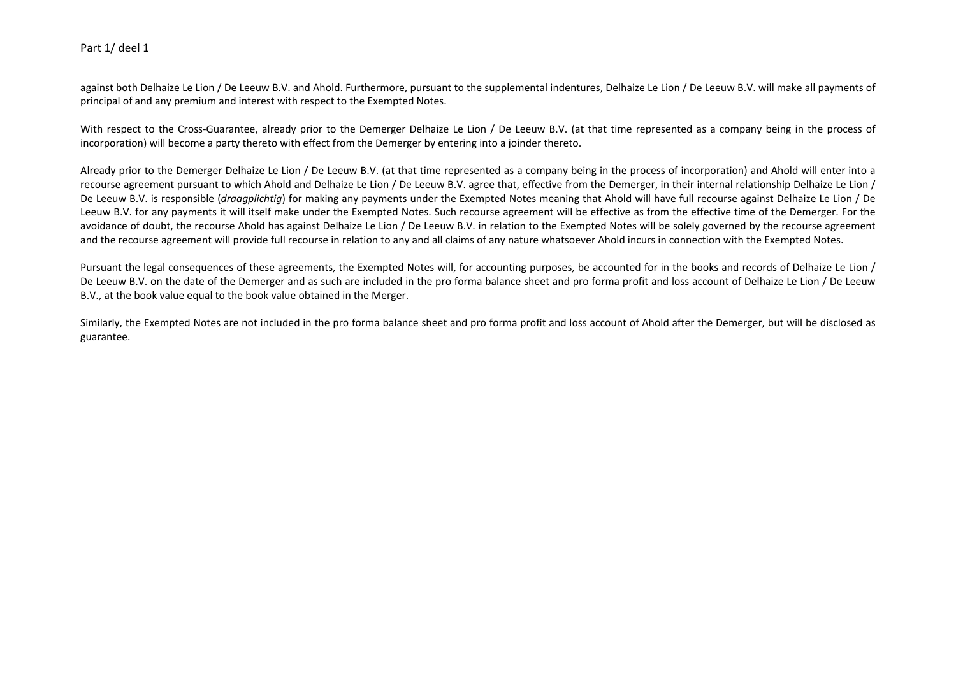against both Delhaize Le Lion / De Leeuw B.V. and Ahold. Furthermore, pursuant to the supplemental indentures, Delhaize Le Lion / De Leeuw B.V. will make all payments of principal of and any premium and interest with respect to the Exempted Notes.

With respect to the Cross-Guarantee, already prior to the Demerger Delhaize Le Lion / De Leeuw B.V. (at that time represented as a company being in the process of incorporation) will become a party thereto with effect from the Demerger by entering into a joinder thereto.

Already prior to the Demerger Delhaize Le Lion / De Leeuw B.V. (at that time represented as a company being in the process of incorporation) and Ahold will enter into a recourse agreement pursuant to which Ahold and Delhaize Le Lion / De Leeuw B.V. agree that, effective from the Demerger, in their internal relationship Delhaize Le Lion / De Leeuw B.V. is responsible (*draagplichtig*) for making any payments under the Exempted Notes meaning that Ahold will have full recourse against Delhaize Le Lion / De Leeuw B.V. for any payments it will itself make under the Exempted Notes. Such recourse agreement will be effective as from the effective time of the Demerger. For the avoidance of doubt, the recourse Ahold has against Delhaize Le Lion / De Leeuw B.V. in relation to the Exempted Notes will be solely governed by the recourse agreement and the recourse agreement will provide full recourse in relation to any and all claims of any nature whatsoever Ahold incurs in connection with the Exempted Notes.

Pursuant the legal consequences of these agreements, the Exempted Notes will, for accounting purposes, be accounted for in the books and records of Delhaize Le Lion / De Leeuw B.V. on the date of the Demerger and as such are included in the pro forma balance sheet and pro forma profit and loss account of Delhaize Le Lion / De Leeuw B.V., at the book value equal to the book value obtained in the Merger.

Similarly, the Exempted Notes are not included in the pro forma balance sheet and pro forma profit and loss account of Ahold after the Demerger, but will be disclosed as guarantee.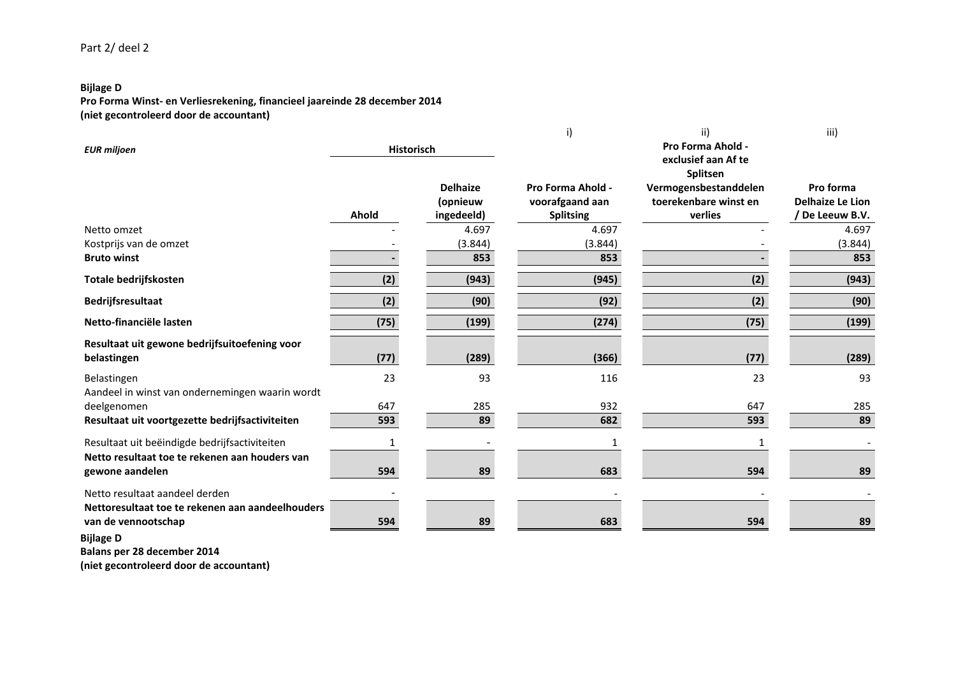## **Bijlage D**

**Pro Forma Winst- en Verliesrekening, financieel jaareinde 28 december 2014 (niet gecontroleerd door de accountant)**

|                                                  |                   |                 | i)                | ii)<br>Pro Forma Ahold -        | iii)                    |
|--------------------------------------------------|-------------------|-----------------|-------------------|---------------------------------|-------------------------|
| <b>EUR miljoen</b>                               | <b>Historisch</b> |                 |                   | exclusief aan Af te<br>Splitsen |                         |
|                                                  |                   | <b>Delhaize</b> | Pro Forma Ahold - | Vermogensbestanddelen           | Pro forma               |
|                                                  |                   | (opnieuw        | voorafgaand aan   | toerekenbare winst en           | <b>Delhaize Le Lion</b> |
|                                                  | Ahold             | ingedeeld)      | <b>Splitsing</b>  | verlies                         | / De Leeuw B.V.         |
| Netto omzet                                      |                   | 4.697           | 4.697             |                                 | 4.697                   |
| Kostprijs van de omzet                           |                   | (3.844)         | (3.844)           |                                 | (3.844)                 |
| <b>Bruto winst</b>                               |                   | 853             | 853               |                                 | 853                     |
| Totale bedrijfskosten                            | (2)               | (943)           | (945)             | (2)                             | (943)                   |
| Bedrijfsresultaat                                | (2)               | (90)            | (92)              | (2)                             | (90)                    |
| Netto-financiële lasten                          | (75)              | (199)           | (274)             | (75)                            | (199)                   |
| Resultaat uit gewone bedrijfsuitoefening voor    |                   |                 |                   |                                 |                         |
| belastingen                                      | (77)              | (289)           | (366)             | (77)                            | (289)                   |
| Belastingen                                      | 23                | 93              | 116               | 23                              | 93                      |
| Aandeel in winst van ondernemingen waarin wordt  |                   |                 |                   |                                 |                         |
| deelgenomen                                      | 647               | 285             | 932               | 647                             | 285                     |
| Resultaat uit voortgezette bedrijfsactiviteiten  | 593               | 89              | 682               | 593                             | 89                      |
| Resultaat uit beëindigde bedrijfsactiviteiten    |                   |                 |                   |                                 |                         |
| Netto resultaat toe te rekenen aan houders van   |                   |                 |                   |                                 |                         |
| gewone aandelen                                  | 594               | 89              | 683               | 594                             | 89                      |
| Netto resultaat aandeel derden                   |                   |                 |                   |                                 |                         |
| Nettoresultaat toe te rekenen aan aandeelhouders |                   |                 |                   |                                 |                         |
| van de vennootschap                              | 594               | 89              | 683               | 594                             | 89                      |
| <b>Bijlage D</b>                                 |                   |                 |                   |                                 |                         |

**Balans per 28 december 2014**

**(niet gecontroleerd door de accountant)**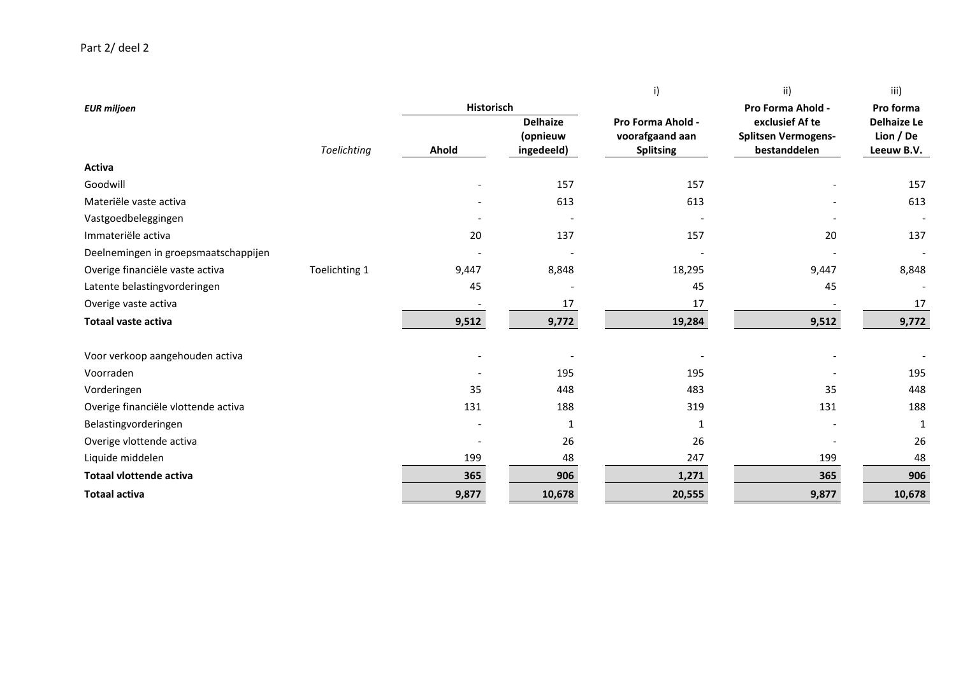|                                      |               |                   |                                           | i)                                                       | ii)                                                           | iii)                                          |
|--------------------------------------|---------------|-------------------|-------------------------------------------|----------------------------------------------------------|---------------------------------------------------------------|-----------------------------------------------|
| <b>EUR miljoen</b>                   |               | <b>Historisch</b> |                                           |                                                          | Pro Forma Ahold -                                             | Pro forma                                     |
|                                      | Toelichting   | Ahold             | <b>Delhaize</b><br>(opnieuw<br>ingedeeld) | Pro Forma Ahold -<br>voorafgaand aan<br><b>Splitsing</b> | exclusief Af te<br><b>Splitsen Vermogens-</b><br>bestanddelen | <b>Delhaize Le</b><br>Lion / De<br>Leeuw B.V. |
| Activa                               |               |                   |                                           |                                                          |                                                               |                                               |
| Goodwill                             |               |                   | 157                                       | 157                                                      |                                                               | 157                                           |
| Materiële vaste activa               |               |                   | 613                                       | 613                                                      |                                                               | 613                                           |
| Vastgoedbeleggingen                  |               |                   |                                           |                                                          |                                                               |                                               |
| Immateriële activa                   |               | 20                | 137                                       | 157                                                      | 20                                                            | 137                                           |
| Deelnemingen in groepsmaatschappijen |               |                   |                                           |                                                          |                                                               |                                               |
| Overige financiële vaste activa      | Toelichting 1 | 9,447             | 8,848                                     | 18,295                                                   | 9,447                                                         | 8,848                                         |
| Latente belastingvorderingen         |               | 45                |                                           | 45                                                       | 45                                                            |                                               |
| Overige vaste activa                 |               |                   | 17                                        | 17                                                       |                                                               | 17                                            |
| Totaal vaste activa                  |               | 9,512             | 9,772                                     | 19,284                                                   | 9,512                                                         | 9,772                                         |
| Voor verkoop aangehouden activa      |               |                   |                                           |                                                          |                                                               |                                               |
| Voorraden                            |               |                   | 195                                       | 195                                                      |                                                               | 195                                           |
| Vorderingen                          |               | 35                | 448                                       | 483                                                      | 35                                                            | 448                                           |
| Overige financiële vlottende activa  |               | 131               | 188                                       | 319                                                      | 131                                                           | 188                                           |
| Belastingvorderingen                 |               |                   | 1                                         | 1                                                        |                                                               | $\mathbf{1}$                                  |
| Overige vlottende activa             |               |                   | 26                                        | 26                                                       |                                                               | 26                                            |
| Liquide middelen                     |               | 199               | 48                                        | 247                                                      | 199                                                           | 48                                            |
| <b>Totaal vlottende activa</b>       |               | 365               | 906                                       | 1,271                                                    | 365                                                           | 906                                           |
| <b>Totaal activa</b>                 |               | 9,877             | 10,678                                    | 20,555                                                   | 9,877                                                         | 10,678                                        |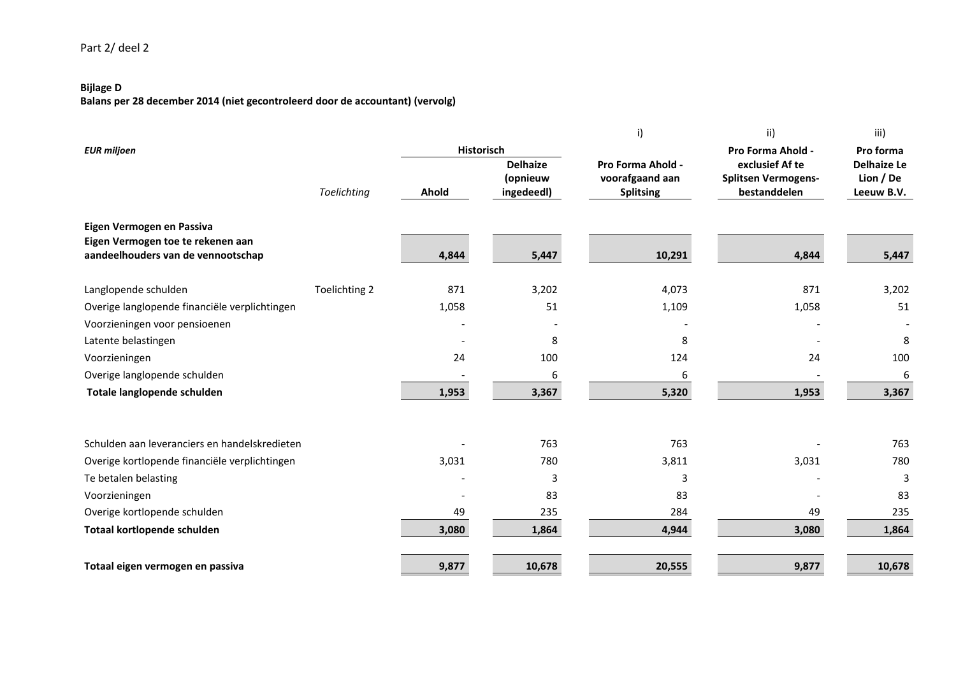## **Bijlage D**

**Balans per 28 december 2014 (niet gecontroleerd door de accountant) (vervolg)**

|                                               |               |            |                             | i)                                   | ii)                                                                | iii)                                         |
|-----------------------------------------------|---------------|------------|-----------------------------|--------------------------------------|--------------------------------------------------------------------|----------------------------------------------|
| <b>EUR miljoen</b>                            |               | Historisch | <b>Delhaize</b><br>(opnieuw | Pro Forma Ahold -<br>voorafgaand aan | Pro Forma Ahold -<br>exclusief Af te<br><b>Splitsen Vermogens-</b> | Pro forma<br><b>Delhaize Le</b><br>Lion / De |
|                                               | Toelichting   | Ahold      | ingedeedl)                  | <b>Splitsing</b>                     | bestanddelen                                                       | Leeuw B.V.                                   |
| Eigen Vermogen en Passiva                     |               |            |                             |                                      |                                                                    |                                              |
| Eigen Vermogen toe te rekenen aan             |               |            |                             |                                      |                                                                    |                                              |
| aandeelhouders van de vennootschap            |               | 4,844      | 5,447                       | 10,291                               | 4,844                                                              | 5,447                                        |
| Langlopende schulden                          | Toelichting 2 | 871        | 3,202                       | 4,073                                | 871                                                                | 3,202                                        |
| Overige langlopende financiële verplichtingen |               | 1,058      | 51                          | 1,109                                | 1,058                                                              | 51                                           |
| Voorzieningen voor pensioenen                 |               |            |                             |                                      |                                                                    |                                              |
| Latente belastingen                           |               |            | 8                           | 8                                    |                                                                    | 8                                            |
| Voorzieningen                                 |               | 24         | 100                         | 124                                  | 24                                                                 | 100                                          |
| Overige langlopende schulden                  |               |            | 6                           | 6                                    |                                                                    | 6                                            |
| Totale langlopende schulden                   |               | 1,953      | 3,367                       | 5,320                                | 1,953                                                              | 3,367                                        |
|                                               |               |            |                             |                                      |                                                                    |                                              |
| Schulden aan leveranciers en handelskredieten |               |            | 763                         | 763                                  |                                                                    | 763                                          |
| Overige kortlopende financiële verplichtingen |               | 3,031      | 780                         | 3,811                                | 3,031                                                              | 780                                          |
| Te betalen belasting                          |               |            | 3                           | 3                                    |                                                                    | 3                                            |
| Voorzieningen                                 |               |            | 83                          | 83                                   |                                                                    | 83                                           |
| Overige kortlopende schulden                  |               | 49         | 235                         | 284                                  | 49                                                                 | 235                                          |
| Totaal kortlopende schulden                   |               | 3,080      | 1,864                       | 4,944                                | 3,080                                                              | 1,864                                        |
| Totaal eigen vermogen en passiva              |               | 9,877      | 10,678                      | 20,555                               | 9,877                                                              | 10,678                                       |
|                                               |               |            |                             |                                      |                                                                    |                                              |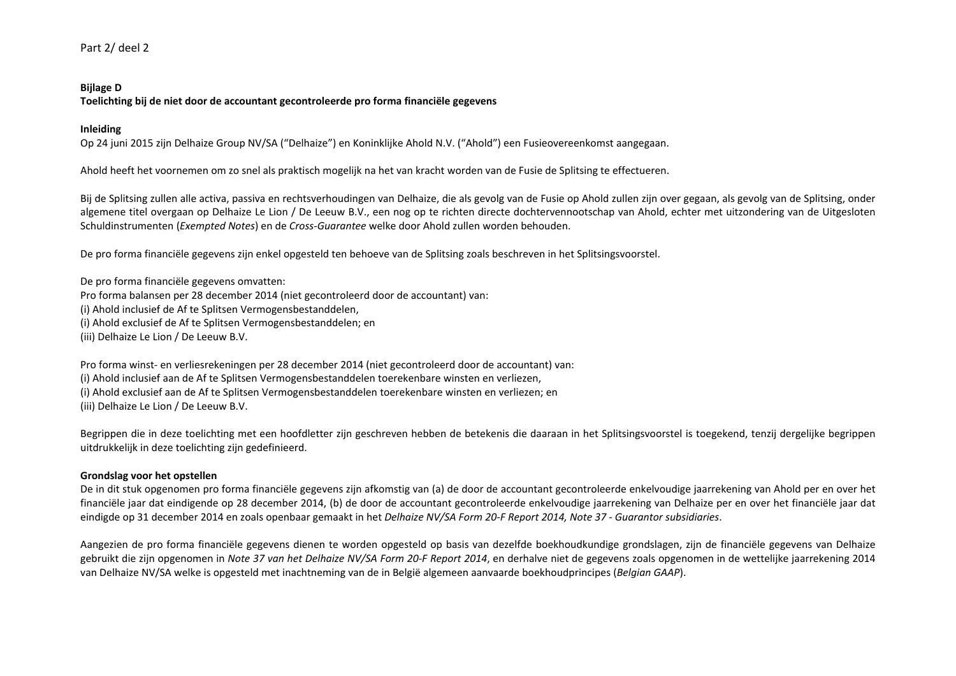### **Bijlage D**

**Toelichting bij de niet door de accountant gecontroleerde pro forma financiële gegevens**

### **Inleiding**

Op 24 juni 2015 zijn Delhaize Group NV/SA ("Delhaize") en Koninklijke Ahold N.V. ("Ahold") een Fusieovereenkomst aangegaan.

Ahold heeft het voornemen om zo snel als praktisch mogelijk na het van kracht worden van de Fusie de Splitsing te effectueren.

Bij de Splitsing zullen alle activa, passiva en rechtsverhoudingen van Delhaize, die als gevolg van de Fusie op Ahold zullen zijn over gegaan, als gevolg van de Splitsing, onder algemene titel overgaan op Delhaize Le Lion / De Leeuw B.V., een nog op te richten directe dochtervennootschap van Ahold, echter met uitzondering van de Uitgesloten Schuldinstrumenten (*Exempted Notes*) en de *Cross-Guarantee* welke door Ahold zullen worden behouden.

De pro forma financiële gegevens zijn enkel opgesteld ten behoeve van de Splitsing zoals beschreven in het Splitsingsvoorstel.

De pro forma financiële gegevens omvatten: Pro forma balansen per 28 december 2014 (niet gecontroleerd door de accountant) van: (i) Ahold inclusief de Af te Splitsen Vermogensbestanddelen, (i) Ahold exclusief de Af te Splitsen Vermogensbestanddelen; en (iii) Delhaize Le Lion / De Leeuw B.V.

Pro forma winst- en verliesrekeningen per 28 december 2014 (niet gecontroleerd door de accountant) van: (i) Ahold inclusief aan de Af te Splitsen Vermogensbestanddelen toerekenbare winsten en verliezen, (i) Ahold exclusief aan de Af te Splitsen Vermogensbestanddelen toerekenbare winsten en verliezen; en (iii) Delhaize Le Lion / De Leeuw B.V.

Begrippen die in deze toelichting met een hoofdletter zijn geschreven hebben de betekenis die daaraan in het Splitsingsvoorstel is toegekend, tenzij dergelijke begrippen uitdrukkelijk in deze toelichting zijn gedefinieerd.

## **Grondslag voor het opstellen**

De in dit stuk opgenomen pro forma financiële gegevens zijn afkomstig van (a) de door de accountant gecontroleerde enkelvoudige jaarrekening van Ahold per en over het financiële jaar dat eindigende op 28 december 2014, (b) de door de accountant gecontroleerde enkelvoudige jaarrekening van Delhaize per en over het financiële jaar dat eindigde op 31 december 2014 en zoals openbaar gemaakt in het *Delhaize NV/SA Form 20-F Report 2014, Note 37 - Guarantor subsidiaries*.

Aangezien de pro forma financiële gegevens dienen te worden opgesteld op basis van dezelfde boekhoudkundige grondslagen, zijn de financiële gegevens van Delhaize gebruikt die zijn opgenomen in Note 37 van het Delhaize NV/SA Form 20-F Report 2014, en derhalve niet de gegevens zoals opgenomen in de wettelijke jaarrekening 2014 van Delhaize NV/SA welke is opgesteld met inachtneming van de in België algemeen aanvaarde boekhoudprincipes (*Belgian GAAP*).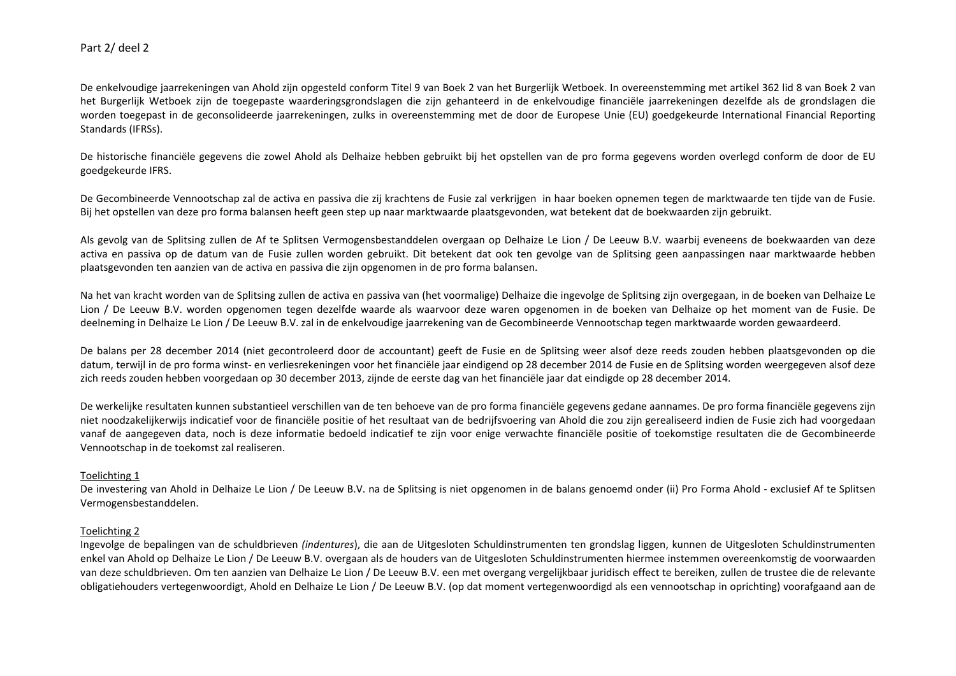De enkelvoudige jaarrekeningen van Ahold zijn opgesteld conform Titel 9 van Boek 2 van het Burgerlijk Wetboek. In overeenstemming met artikel 362 lid 8 van Boek 2 van het Burgerlijk Wetboek zijn de toegepaste waarderingsgrondslagen die zijn gehanteerd in de enkelvoudige financiële jaarrekeningen dezelfde als de grondslagen die worden toegepast in de geconsolideerde jaarrekeningen, zulks in overeenstemming met de door de Europese Unie (EU) goedgekeurde International Financial Reporting Standards (IFRSs).

De historische financiële gegevens die zowel Ahold als Delhaize hebben gebruikt bij het opstellen van de pro forma gegevens worden overlegd conform de door de EU goedgekeurde IFRS.

De Gecombineerde Vennootschap zal de activa en passiva die zij krachtens de Fusie zal verkrijgen in haar boeken opnemen tegen de marktwaarde ten tijde van de Fusie. Bij het opstellen van deze pro forma balansen heeft geen step up naar marktwaarde plaatsgevonden, wat betekent dat de boekwaarden zijn gebruikt.

Als gevolg van de Splitsing zullen de Af te Splitsen Vermogensbestanddelen overgaan op Delhaize Le Lion / De Leeuw B.V. waarbij eveneens de boekwaarden van deze activa en passiva op de datum van de Fusie zullen worden gebruikt. Dit betekent dat ook ten gevolge van de Splitsing geen aanpassingen naar marktwaarde hebben plaatsgevonden ten aanzien van de activa en passiva die zijn opgenomen in de pro forma balansen.

Na het van kracht worden van de Splitsing zullen de activa en passiva van (het voormalige) Delhaize die ingevolge de Splitsing zijn overgegaan, in de boeken van Delhaize Le Lion / De Leeuw B.V. worden opgenomen tegen dezelfde waarde als waarvoor deze waren opgenomen in de boeken van Delhaize op het moment van de Fusie. De deelneming in Delhaize Le Lion / De Leeuw B.V. zal in de enkelvoudige jaarrekening van de Gecombineerde Vennootschap tegen marktwaarde worden gewaardeerd.

De balans per 28 december 2014 (niet gecontroleerd door de accountant) geeft de Fusie en de Splitsing weer alsof deze reeds zouden hebben plaatsgevonden op die datum, terwijl in de pro forma winst- en verliesrekeningen voor het financiële jaar eindigend op 28 december 2014 de Fusie en de Splitsing worden weergegeven alsof deze zich reeds zouden hebben voorgedaan op 30 december 2013, zijnde de eerste dag van het financiële jaar dat eindigde op 28 december 2014.

De werkelijke resultaten kunnen substantieel verschillen van de ten behoeve van de pro forma financiële gegevens gedane aannames. De pro forma financiële gegevens zijn niet noodzakelijkerwijs indicatief voor de financiële positie of het resultaat van de bedrijfsvoering van Ahold die zou zijn gerealiseerd indien de Fusie zich had voorgedaan vanaf de aangegeven data, noch is deze informatie bedoeld indicatief te zijn voor enige verwachte financiële positie of toekomstige resultaten die de Gecombineerde Vennootschap in de toekomst zal realiseren.

### Toelichting 1

De investering van Ahold in Delhaize Le Lion / De Leeuw B.V. na de Splitsing is niet opgenomen in de balans genoemd onder (ii) Pro Forma Ahold - exclusief Af te Splitsen Vermogensbestanddelen.

## Toelichting 2

Ingevolge de bepalingen van de schuldbrieven *(indentures*), die aan de Uitgesloten Schuldinstrumenten ten grondslag liggen, kunnen de Uitgesloten Schuldinstrumenten enkel van Ahold op Delhaize Le Lion / De Leeuw B.V. overgaan als de houders van de Uitgesloten Schuldinstrumenten hiermee instemmen overeenkomstig de voorwaarden van deze schuldbrieven. Om ten aanzien van Delhaize Le Lion / De Leeuw B.V. een met overgang vergelijkbaar juridisch effect te bereiken, zullen de trustee die de relevante obligatiehouders vertegenwoordigt, Ahold en Delhaize Le Lion / De Leeuw B.V. (op dat moment vertegenwoordigd als een vennootschap in oprichting) voorafgaand aan de